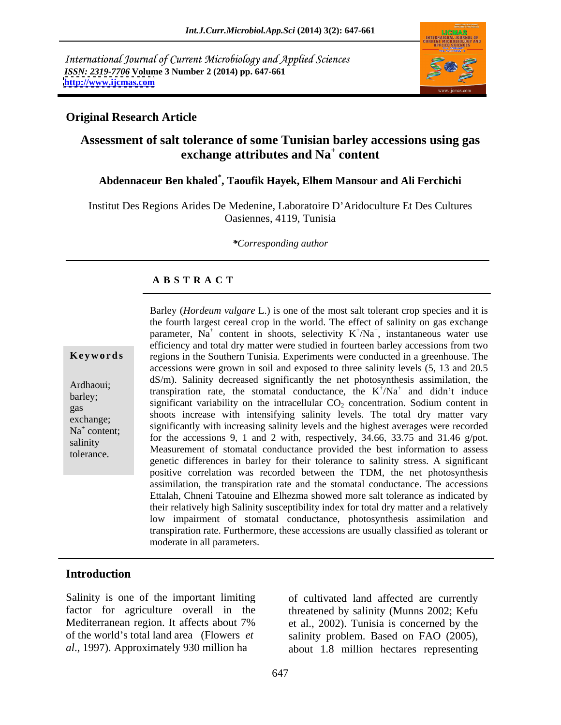International Journal of Current Microbiology and Applied Sciences *ISSN: 2319-7706* **Volume 3 Number 2 (2014) pp. 647-661 <http://www.ijcmas.com>**



## **Original Research Article**

### **Assessment of salt tolerance of some Tunisian barley accessions using gas exchange attributes and Na<sup>+</sup> content content**

# **Abdennaceur Ben khaled\* , Taoufik Hayek, Elhem Mansour and Ali Ferchichi**

Institut Des Regions Arides De Medenine, Laboratoire D Aridoculture Et Des Cultures Oasiennes, 4119, Tunisia

*\*Corresponding author*

### **A B S T R A C T**

**Keywords** regions in the Southern Tunisia. Experiments were conducted in a greenhouse. The Ardhaoui; assumption rate, the stomatal conductance, the  $K^+/Na^+$  and didn't induce transpiration rate, the stomatal conductance, the  $K^+/Na^+$  and didn't induce barley; transpiration rate, the stomatal conductance, the K/Na and didn't mode significant variability on the intracellular  $CO_2$  concentration. Sodium content in  $g_{\text{as}}$  significant variability on the infracential  $\text{CO}_2$  concentration. Social driven measurement in shoots increase with intensifying salinity levels. The total dry matter vary exchange;<br>exchange;<br>exchange;<br>exchange;<br>exchange;<br>exchange;  $N_a^+$  content;<br> $N_a^+$  content;<br> $N_a^+$  content;<br> $N_a^+$  content;<br> $N_a^+$  content;<br> $N_a^+$  content;<br> $N_a^+$  contents;<br> $N_a^+$  contents;<br> $N_a^+$  contents;<br> $N_a^+$  contents;<br> $N_a^+$  contents;<br> $N_a^+$  contents;<br> $N_a^+$  contents;<br> $N_a^+$ content;<br>
for the accessions 9, 1 and 2 with, respectively, 34.66, 33.75 and 31.46 g/pot. salinity<br>
Measurement of stomatal conductance provided the best information to assess tolerance.<br>
genetic differences in barley for their tolerance to salinity stress. A significant Barley (*Hordeum vulgare* L.) is one of the most salt tolerant crop species and it is the fourth largest cereal crop in the world. The effect of salinity on gas exchange parameter,  $Na<sup>+</sup>$  content in shoots, selectivity  $K<sup>+</sup>/Na<sup>+</sup>$ , instantaneous water use efficiency and total dry matter were studied in fourteen barley accessions from two accessions were grown in soil and exposed to three salinity levels (5, 13 and 20.5 dS/m). Salinity decreased significantly the net photosynthesis assimilation, the  $^{\dagger}$  N<sub>0</sub><sup> $\dagger$ </sup> and didn't induce  $/Na^+$  and didn't induce and didn't induce positive correlation was recorded between the TDM, the net photosynthesis assimilation, the transpiration rate and the stomatal conductance. The accessions Ettalah, Chneni Tatouine and Elhezma showed more salt tolerance as indicated by their relatively high Salinity susceptibility index for total dry matter and a relatively low impairment of stomatal conductance, photosynthesis assimilation and transpiration rate. Furthermore, these accessions are usually classified as tolerant or moderate in all parameters.

# **Introduction**

Salinity is one of the important limiting of cultivated land affected are currently *al*., 1997). Approximately 930 million ha about 1.8 million hectares representing

.

factor for agriculture overall in the threatened by salinity (Munns 2002; Kefu Mediterranean region. It affects about 7% et al., 2002). Tunisia is concerned by the of the world's total land area (Flowers *et* salinity problem. Based on FAO (2005),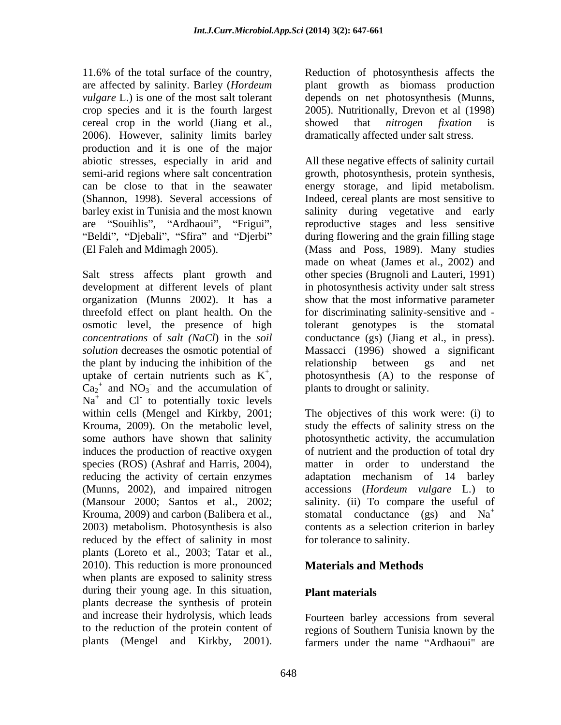11.6% of the total surface of the country, Reduction of photosynthesis affects the are affected by salinity. Barley (*Hordeum*  plant growth as biomass production *vulgare* L.) is one of the most salt tolerant depends on net photosynthesis (Munns, crop species and it is the fourth largest 2005). Nutritionally, Drevon et al (1998) cereal crop in the world (Jiang et al., showed that *nitrogen fixation* is 2006). However, salinity limits barley production and it is one of the major

osmotic level, the presence of high tolerant genotypes is the stomatal the plant by inducing the inhibition of the relationship between gs and net uptake of certain nutrients such as  $K^+$ , photosynthesis (A) to the response of  $Ca_2^+$  and  $NO_3^-$  and the accumulation of plants to drought or salinity.  $Ca<sub>2</sub><sup>+</sup>$  and NO<sub>3</sub> and the accumulation of  $Na<sup>+</sup>$  and Cl<sup>-</sup> to potentially toxic levels induces the production of reactive oxygen species (ROS) (Ashraf and Harris, 2004), reducing the activity of certain enzymes adaptation mechanism of 14 barley reduced by the effect of salinity in most plants (Loreto et al., 2003; Tatar et al., 2010). This reduction is more pronounced when plants are exposed to salinity stress during their young age. In this situation, **Plant materials** plants decrease the synthesis of protein and increase their hydrolysis, which leads to the reduction of the protein content of regions of Southern Tunisia known by the 11.6% of he total surface of the country. Reduction of photosynthesis affects the counterparts (Mensey L.) is one of the most surface of the most surface the most surface of the most surface of the most surface of the surf

showed that *nitrogen fixation* is dramatically affected under salt stress.

abiotic stresses, especially in arid and All these negative effects of salinity curtail semi-arid regions where salt concentration growth, photosynthesis, protein synthesis, can be close to that in the seawater energy storage, and lipid metabolism. (Shannon, 1998). Several accessions of Indeed, cereal plants are most sensitive to barley exist in Tunisia and the most known salinity during vegetative and early are "Souihlis", "Ardhaoui", "Frigui", reproductive stages and less sensitive Beldi", "Djebali", "Sfira" and "Djerbi" during flowering and the grain filling stage (El Faleh and Mdimagh 2005). (Mass and Poss, 1989). Many studies Salt stress affects plant growth and other species (Brugnoli and Lauteri, 1991) development at different levels of plant in photosynthesis activity under salt stress organization (Munns 2002). It has a show that the most informative parameter threefold effect on plant health. On the for discriminating salinity-sensitive and *concentrations* of *salt (NaCl*) in the *soil* conductance (gs) (Jiang et al., in press). *solution* decreases the osmotic potential of Massacci (1996) showed a significant uptake of certain nutrients such as  $K^+$ , photosynthesis (A) to the response of and the accumulation of plants to drought or salinity. made on wheat (James et al., 2002) and tolerant genotypes is the stomatal relationship between gs and net plants to drought or salinity.

within cells (Mengel and Kirkby, 2001; The objectives of this work were: (i) to Krouma, 2009). On the metabolic level, study the effects of salinity stress on the some authors have shown that salinity photosynthetic activity, the accumulation (Munns, 2002), and impaired nitrogen accessions (*Hordeum vulgare* L*.*) to (Mansour 2000; Santos et al., 2002; salinity. (ii) To compare the useful of Krouma, 2009) and carbon (Balibera et al., stomatal conductance (gs) and  $Na<sup>+</sup>$ 2003) metabolism. Photosynthesis is also contents as a selection criterion in barley of nutrient and the production of total dry matter in order to understand the adaptation mechanism of 14 barley for tolerance to salinity.

# **Materials and Methods**

# **Plant materials**

Fourteen barley accessions from several farmers under the name "Ardhaoui" are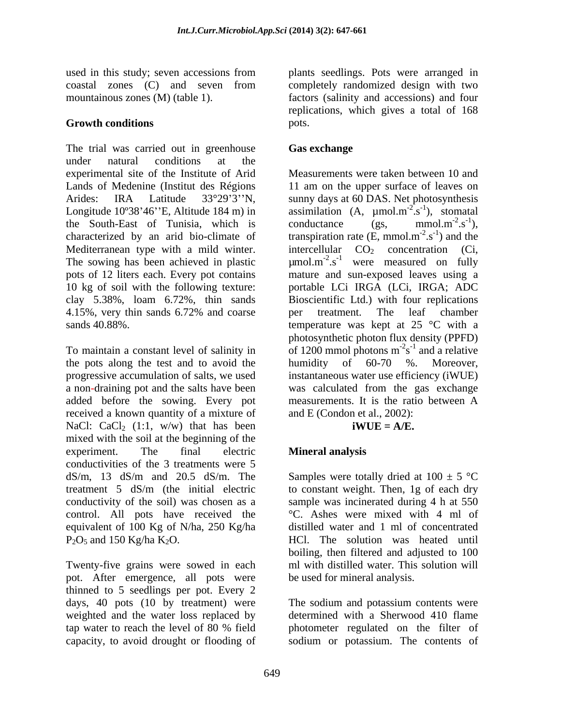The trial was carried out in greenhouse **Gas exchange** under natural conditions at the experimental site of the Institute of Arid Lands of Medenine (Institut des Régions 11 am on the upper surface of leaves on Arides: IRA Latitude 33°29'3''N, sunny days at 60 DAS. Net photosynthesis Longitude 10°38'46''E, Altitude 184 m) in assimilation  $(A, \mu \text{mol.m}^{-2} \text{ s}^{-1})$ , stomatal the South-East of Tunisia, which is conductance (gs.  $mmol.m<sup>-2</sup>.s<sup>-1</sup>$ ), characterized by an arid bio-climate of transpiration rate  $(E, \text{mmol.m}^{-2}, s^{-1})$  and the Mediterranean type with a mild winter. The sowing has been achieved in plastic  $\mu$ mol.m<sup>-2</sup>.s<sup>-1</sup> were measured on fully pots of 12 liters each. Every pot contains mature and sun-exposed leaves using a 10 kg of soil with the following texture: portable LCi IRGA (LCi, IRGA; ADC clay 5.38%, loam 6.72%, thin sands 4.15%, very thin sands 6.72% and coarse sands 40.88%. temperature was kept at 25 °C with a

To maintain a constant level of salinity in  $\sim$  of 1200 mmol photons  $m^2s^{-1}$  and a relative the pots along the test and to avoid the humidity of  $60-70$  %. Moreover, progressive accumulation of salts, we used a non-draining pot and the salts have been was calculated from the gas exchange added before the sowing. Every pot measurements. It is the ratio between A received a known quantity of a mixture of NaCl: CaCl<sub>2</sub> (1:1, w/w) that has been **iWUE** =  $A/E$ . mixed with the soil at the beginning of the experiment. The final electric **Mineral analysis** conductivities of the 3 treatments were 5 dS/m, 13 dS/m and 20.5 dS/m. The Samples were totally dried at  $100 \pm 5$  °C treatment 5 dS/m (the initial electric to constant weight. Then, 1g of each dry conductivity of the soil) was chosen as a control. All pots have received the °C. Ashes were mixed with 4 ml of equivalent of 100 Kg of N/ha, 250 Kg/ha

Twenty-five grains were sowed in each pot. After emergence, all pots were thinned to 5 seedlings per pot. Every 2 days, 40 pots (10 by treatment) were weighted and the water loss replaced by determined with a Sherwood 410 flame tap water to reach the level of 80 % field photometer regulated on the filter of capacity, to avoid drought or flooding of sodium or potassium. The contents of

used in this study; seven accessions from plants seedlings. Pots were arranged in coastal zones (C) and seven from mountainous zones (M) (table 1). factors (salinity and accessions) and four **Growth conditions** pots. completely randomized design with two replications, which gives a total of 168 pots.

# **Gas exchange**

Measurements were taken between 10 and  $2^{\circ}$ <sup>-1</sup>) stomatel  $(s^{-1})$ , stomatal  $^{-1}$   $\sim$  domatel ), stomatal conductance  $(gs, \text{mmol.m}^{-2}.s^{-1}),$  $-2$   $-1$  $(s^{-1}),$  $-1$ ),  $-2$   $c^{-1}$  and the  $(s^{-1})$  and the  $^{-1}$  and the ) and the intercellular  $CO<sub>2</sub>$  concentration (Ci, Bioscientific Ltd.) with four replications per treatment. The leaf chamber photosynthetic photon flux density (PPFD)  $s^{-1}$  and a relative  $^{-1}$  and a relative humidity of 60-70 %. Moreover, instantaneous water use efficiency (iWUE) measurements. It is the ratio between A and E (Condon et al., 2002):

## $iWUE = A/E.$

# **Mineral analysis**

 $P_2O_5$  and 150 Kg/ha K<sub>2</sub>O. 
HCl. The solution was heated until sample was incinerated during 4 h at 550 distilled water and 1 ml of concentrated boiling, then filtered and adjusted to 100 ml with distilled water. This solution will be used for mineral analysis.

The sodium and potassium contents were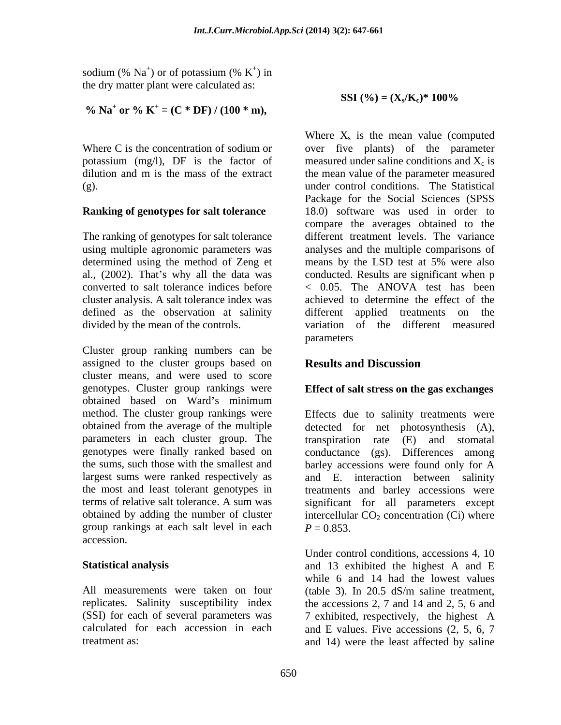sodium (%  $Na^+$ ) or of potassium (%  $K^+$ ) in ) or of potassium (%  $K^+$ ) in  $^{+}$ ) in ) in the dry matter plant were calculated as:

% Na<sup>+</sup> or % K<sup>+</sup> = (C \* DF) / (100 \* m),

## **Ranking of genotypes for salt tolerance**

The ranking of genotypes for salt tolerance using multiple agronomic parameters was determined using the method of Zeng et means by the LSD test at 5% were also converted to salt tolerance indices before  $\leq$  0.05. The ANOVA test has been defined as the observation at salinity and different applied treatments on the

Cluster group ranking numbers can be assigned to the cluster groups based on **Results and Discussion** cluster means, and were used to score genotypes. Cluster group rankings were obtained based on Ward's minimum method. The cluster group rankings were Effects due to salinity treatments were obtained from the average of the multiple detected for net photosynthesis (A), parameters in each cluster group. The transpiration rate (E) and stomatal genotypes were finally ranked based on conductance (gs). Differences among the sums, such those with the smallest and barley accessions were found only for A largest sums were ranked respectively as the most and least tolerant genotypes in treatments and barley accessions were terms of relative salt tolerance. A sum was significant for all parameters except obtained by adding the number of cluster intercellular  $CO<sub>2</sub>$  concentration (Ci) where group rankings at each salt level in each  $P = 0.853$ . accession.

All measurements were taken on four (table 3). In 20.5 dS/m saline treatment, replicates. Salinity susceptibility index

**SSI** (%) =  $(X_s/K_c)^*$  100%

Where C is the concentration of sodium or over five plants) of the parameter potassium (mg/l), DF is the factor of measured under saline conditions and  $X_c$  is dilution and m is the mass of the extract the mean value of the parameter measured (g). under control conditions. The Statistical al., (2002). That's why all the data was conducted. Results are significant when p cluster analysis. A salt tolerance index was achieved to determine the effect of the divided by the mean of the controls. variation of the different measured Where  $X_s$  is the mean value (computed over five plants) of the parameter Package for the Social Sciences (SPSS 18.0) software was used in order to compare the averages obtained to the different treatment levels. The variance analyses and the multiple comparisons of means by the LSD test at 5% were also < 0.05. The ANOVA test has been applied treatments on parameters and the set of the set of the set of the set of the set of the set of the set of the set of the set of the set of the set of the set of the set of the set of the set of the set of the set of the set of the set o

# **Results and Discussion**

## **Effect of salt stress on the gas exchanges**

and E. interaction between salinity  $P = 0.853$ .

**Statistical analysis**  and 13 exhibited the highest A and E (SSI) for each of several parameters was 7 exhibited, respectively, the highest A calculated for each accession in each and E values. Five accessions (2, 5, 6, 7 treatment as: and 14) were the least affected by saline Under control conditions, accessions 4, 10 while 6 and 14 had the lowest values (table 3). In 20.5 dS/m saline treatment, the accessions 2, 7 and 14 and 2, 5, 6 and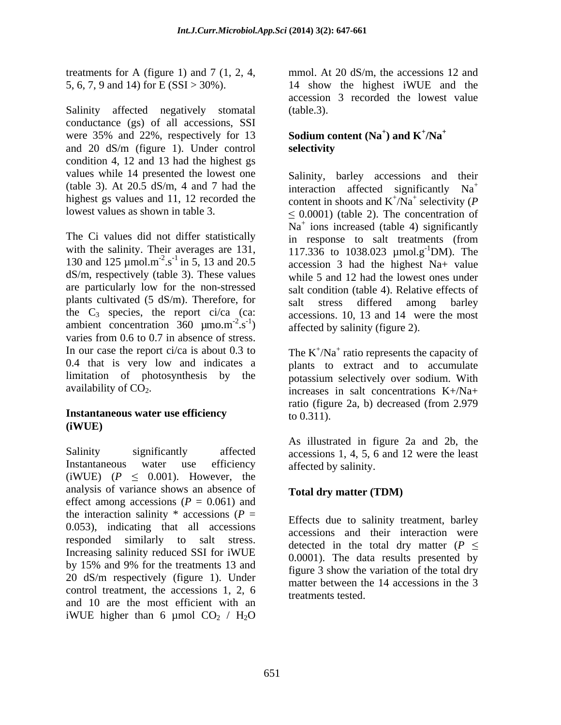treatments for A (figure 1) and 7 (1, 2, 4,

Salinity affected negatively stomatal (table.3). conductance (gs) of all accessions, SSI were 35% and 22%, respectively for 13 and 20 dS/m (figure 1). Under control condition 4, 12 and 13 had the highest gs values while 14 presented the lowest one (table 3). At 20.5 dS/m, 4 and 7 had the

The Ci values did not differ statistically in response to salt treatments (from 130 and 125  $\mu$ mol.m<sup>-2</sup>.s<sup>-1</sup> in 5, 13 and 20.5 are particularly low for the non-stressed plants cultivated (5 dS/m). Therefore, for salt stress differed among barley the  $C_3$  species, the report ci/ca (ca: ambient concentration  $360 \mu m \text{m}^{-2} \text{ s}^{-1}$ ) varies from 0.6 to 0.7 in absence of stress. In our case the report ci/ca is about 0.3 to The  $K^+/Na^+$  ratio represents the capacity of 0.4 that is very low and indicates a limitation of photosynthesis by the

# **Instantaneous water use efficiency**  $\qquad \qquad \text{to } 0.311$ . **(iWUE)**

Salinity significantly affected accessions 1, 4, 5, 6 and 12 were the least Instantaneous water use efficiency affected by salinity. (iWUE)  $(P \le 0.001)$ . However, the analysis of variance shows an absence of effect among accessions  $(P = 0.061)$  and the interaction salinity  $*$  accessions ( $P =$ 0.053), indicating that all accessions responded similarly to salt stress. Increasing salinity reduced SSI for iWUE by 15% and 9% for the treatments 13 and  $\frac{6.6667}{6}$ . The data results presented by 20 dS/m respectively (figure 1). Under control treatment, the accessions 1, 2, 6 and 10 are the most efficient with an iWUE higher than 6 µmol  $CO<sub>2</sub> / H<sub>2</sub>O$ 

5, 6, 7, 9 and 14) for E (SSI > 30%). 14 show the highest iWUE and the mmol. At 20 dS/m, the accessions 12 and accession 3 recorded the lowest value (table.3).

### Sodium content (Na<sup>+</sup>) and  $K^+/Na^+$ ) and  $K^{\dagger}/Na^{\dagger}$ **/Na<sup>+</sup> selectivity**

highest gs values and 11, 12 recorded the content in shoots and  $K^+/\overline{Na}^+$  selectivity (P lowest values as shown in table 3.  $\leq 0.0001$  (table 2). The concentration of with the salinity. Their averages are 131,  $117.336$  to 1038.023 µmol.g<sup>-1</sup>DM). The  $e^{-2}$ .s<sup>-1</sup> in 5, 13 and 20.5 accession 3 had the highest Na+ value dS/m, respectively (table 3). These values while 5 and 12 had the lowest ones under  $-2e^{-1}$  .  $e^{2}$  $\sigma$ <sup>-1</sup>) affected by salinity (figure 2).  $\frac{1}{2}$   $\frac{1}{2}$   $\frac{1}{2}$   $\frac{1}{2}$   $\frac{1}{2}$   $\frac{1}{2}$   $\frac{1}{2}$   $\frac{1}{2}$   $\frac{1}{2}$   $\frac{1}{2}$   $\frac{1}{2}$   $\frac{1}{2}$   $\frac{1}{2}$   $\frac{1}{2}$   $\frac{1}{2}$   $\frac{1}{2}$   $\frac{1}{2}$   $\frac{1}{2}$   $\frac{1}{2}$   $\frac{1}{2}$   $\frac{1}{2}$   $\frac{1}{2}$  Salinity, barley accessions and their interaction affected significantly Na<sup>+</sup>  $\overline{N}a^+$  selectivity (P selectivity (*P* Na<sup>+</sup> ions increased (table 4) significantly in response to salt treatments (from  $^{-1}$ DM). The salt condition (table 4). Relative effects of salt stress differed among barley accessions. 10, 13 and 14 were the most

availability of  $CO<sub>2</sub>$ . plants to extract and to accumulate potassium selectively over sodium. With ratio (figure 2a, b) decreased (from 2.979 to  $0.311$ ).

> As illustrated in figure 2a and 2b, the affected by salinity.

# **Total dry matter (TDM)**

Effects due to salinity treatment, barley accessions and their interaction were detected in the total dry matter  $(P \leq$ 0.0001). The data results presented by figure 3 show the variation of the total dry matter between the 14 accessions in the 3 treatments tested.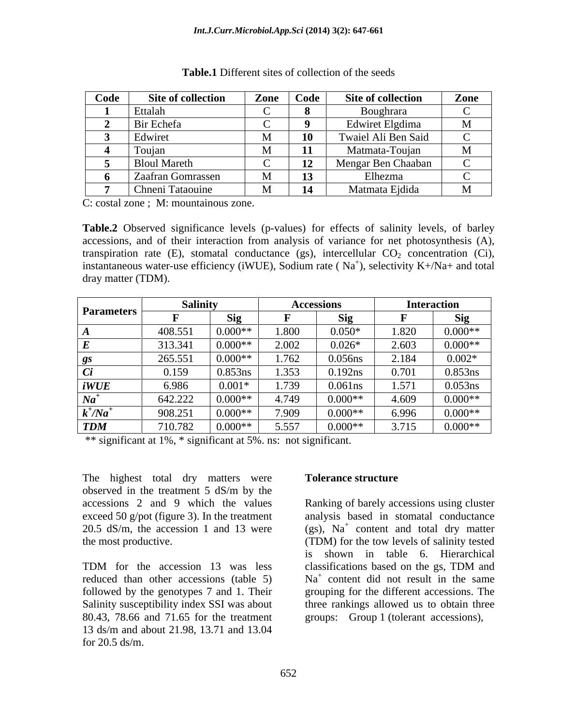| Code                     | Site of collection  | Zone | Code           | Site of collection  | Zone |
|--------------------------|---------------------|------|----------------|---------------------|------|
|                          | Ettalah             |      |                | Boughrara           |      |
|                          | Bir Echefa          |      |                | Edwiret Elgdima     |      |
|                          | Edwire              |      |                | Twaiel Ali Ben Said |      |
| $\overline{\phantom{a}}$ | - 1 0111            |      |                | Matmata-Touia       |      |
|                          | <b>Bloul Mareth</b> |      | $\blacksquare$ | Mengar Ben Chaaban  |      |
|                          | Zaafran Gomrassen   |      | 13             | Elhezma             |      |
|                          | Chneni Tataouine    |      | 14             | Matmata Ejdida      |      |

C: costal zone ; M: mountainous zone.

**Table.2** Observed significance levels (p-values) for effects of salinity levels, of barley accessions, and of their interaction from analysis of variance for net photosynthesis (A), transpiration rate (E), stomatal conductance (gs), intercellular  $CO<sub>2</sub>$  concentration (Ci), instantaneous water-use efficiency (iWUE), Sodium rate ( $Na<sup>+</sup>$ ), selectivity K+/Na+ and total dray matter (TDM).

|                            | Salinity |           |       | <b>Accessions</b>                    |       | <b>Interaction</b> |
|----------------------------|----------|-----------|-------|--------------------------------------|-------|--------------------|
| <b>Parameters</b>          |          | Sio       |       | $\mathbf{C}$ i $\boldsymbol{\alpha}$ |       | $\mathbf{C}$ ia    |
|                            | 408.551  | $0.000**$ | 1.800 | $0.050*$                             | 1.820 | $0.000**$          |
|                            | 313.341  | $0.000**$ | 2.002 | $0.026*$                             | 2.603 | $0.000**$          |
|                            | 265.551  | $0.000**$ | 1.762 | 0.056ns                              | 2.184 | $0.002*$           |
|                            | 0.159    | 0.853ns   | 1.353 | 0.192ns                              | 0.701 | 0.853ns            |
| iWUE                       | 6.986    | $0.001*$  | 1.739 | $0.061$ ns                           | 1.571 | 0.053ns            |
| $Na^{+}$                   | 642.222  | $0.000**$ | 4.749 | $0.000**$                            | 4.609 | $0.000**$          |
| $k^{\dagger}/Na^{\dagger}$ | 908.251  | $0.000**$ | 7.909 | $0.000**$                            | 6.996 | $0.000**$          |
| <b>TDM</b>                 | 710.782  | $0.000**$ | 5.557 | $0.000**$                            | 3.715 | $0.000**$          |

\*\* significant at 1%, \* significant at 5%. ns: not significant.

The highest total dry matters were **Tolerance structure** observed in the treatment 5 dS/m by the

followed by the genotypes 7 and 1. Their 80.43, 78.66 and 71.65 for the treatment groups: Group 1 (tolerant accessions),13 ds/m and about 21.98, 13.71 and 13.04  $\frac{1}{20.5}$  ds/m.

### **Tolerance structure**

accessions 2 and 9 which the values Ranking of barely accessions using cluster exceed 50 g/pot (figure 3). In the treatment analysis based in stomatal conductance 20.5 dS/m, the accession 1 and 13 were (gs),  $Na<sup>+</sup>$  content and total dry matter the most productive. (TDM) for the tow levels of salinity tested TDM for the accession 13 was less classifications based on the gs, TDM and reduced than other accessions (table 5)  $Na<sup>+</sup>$  content did not result in the same Salinity susceptibility index SSI was about three rankings allowed us to obtain three is shown in table 6. Hierarchical classifications based on the gs, TDM and grouping for the different accessions. The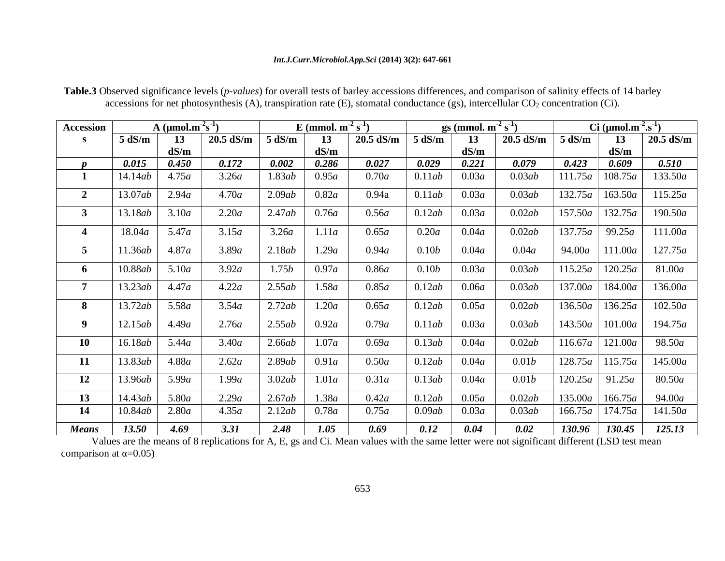### *Int.J.Curr.Microbiol.App.Sci* **(2014) 3(2): 647-661**

| <b>Accession</b> |                        | A (umol.m~s |                         |                                    | E (mmol. $m^{-2} s^{-1}$ ) |                                        |                    | gs (mmol. $m^2 s^1$ ) |                        |        | Ci $(\mu \text{mol.m}^{-2} \text{.s}^{-1})$ |                                                                                             |
|------------------|------------------------|-------------|-------------------------|------------------------------------|----------------------------|----------------------------------------|--------------------|-----------------------|------------------------|--------|---------------------------------------------|---------------------------------------------------------------------------------------------|
|                  | 5 dS/m                 |             | 13   20.5 dS/m   5 dS/m |                                    | 13                         |                                        | 20.5 dS/m   5 dS/m | <b>13</b>             | 20.5 dS/m $\vert$      | 5 dS/m |                                             | 13   20.5 dS/m                                                                              |
|                  |                        | dS/m        |                         |                                    | dS/m                       |                                        |                    | dS/m                  |                        |        | dS/m                                        |                                                                                             |
|                  | 0.015                  | 0.450       | 0.172                   | 0.002                              | 0.286                      | 0.027                                  | 0.029              | 0.221                 |                        | 0.423  | 0.609                                       | 0.510                                                                                       |
|                  | 14.14ab                | 4.75a       | 3.26a                   | 1.83ab                             | 0.95a                      | 0.70a                                  | 0.11ab             | 0.03a                 | 0.03ab                 |        |                                             | 111.75 $a$   108.75 $a$   133.50 $a$                                                        |
|                  | $\vert$ 13.07 $ab$     | 2.94a       | 4.70a                   | 2.09ab                             | 0.82a                      | 0.94a                                  | 0.11ab             | 0.03a                 | 0.03ab                 |        |                                             | $132.75a$   163.50a   115.25a                                                               |
|                  | 13.18ab   3.10a        |             | 2.20a                   | 2.47ab                             | 0.76a                      | 0.56a                                  | 0.12ab             | 0.03a                 | 0.02ab                 |        |                                             | $\mid$ 157.50a   132.75a   190.50a                                                          |
| $\rightarrow$    | $\vert$ 18.04a $\vert$ | 5.47a       | 3.15a                   | 3.26a                              | 1.11a                      | 0.65a                                  | 0.20a              | 0.04a                 | 0.02ab                 |        |                                             | $\mid$ 137.75a   99.25a   111.00a                                                           |
|                  | $11.36ab$ 4.87a        |             | 3.89a                   | 12.18ab                            | 1.29a                      | 0.94a                                  | 0.10b              | 0.04a                 | 0.04a                  |        |                                             | $94.00a$   111.00a   127.75a                                                                |
|                  | 10.88ab   5.10a        |             | 3.92a                   | 1.75b                              | 0.97a                      | 0.86 <i>a</i>                          | 0.10b              | 0.03a                 | 0.03ab                 |        |                                             | $115.25a$   120.25a   81.00a                                                                |
|                  | $13.23ab$ 4.47a        |             | 4.22a                   | 2.55ab                             | 1.58a                      | 0.85a                                  | 0.12ab             | 0.06 <i>a</i>         | 0.03ab                 |        |                                             | $\mid$ 137.00a $\mid$ 184.00a $\mid$ 136.00a                                                |
|                  | 13.72ab                | 5.58a       | 3.54a                   | 2.72ab                             | 1.20a                      | 0.65a                                  | 0.12ab             | 0.05a                 | 0.02ab                 |        |                                             | $136.50a$   $136.25a$   $102.50a$                                                           |
|                  |                        |             |                         |                                    |                            |                                        |                    |                       |                        |        |                                             |                                                                                             |
|                  | 12.15ab   4.49a        |             | 2.76a                   | 2.55ab                             | 0.92a                      | 0.79a                                  | 0.11ab             | 0.03a                 | 0.03ab                 |        |                                             | $143.50a$   101.00a   194.75a                                                               |
| 10               | 16.18ab                | 5.44a       | 3.40a                   | $\frac{2.66ab}{ }$                 | 1.07a                      | 0.69a                                  | 0.13ab             | 0.04a                 | 0.02ab                 |        |                                             | $\vert$ 116.67a   121.00a   98.50a                                                          |
| - 11             | $13.83ab$ 4.88a        |             | 2.62a                   | 2.89ab                             | 0.91a                      | 0.50a                                  | 0.12ab             | 0.04a                 | 0.01b                  |        |                                             | $\mid$ 128.75a   115.75a   145.00a                                                          |
|                  | 12   13.96ab           | 5.99a       | 1.99a                   | 3.02ab                             | 1.01a                      | 0.31a                                  | 0.13ab             | 0.04a                 | 0.01b                  |        |                                             | $\mid$ 120.25a   91.25a   80.50a                                                            |
| 13               | 14.43ab                | 5.80a       | 2.29a                   | 2.67ab                             | 1.38a                      | $\begin{array}{ccc} 0.42a \end{array}$ | $0.12ab$ $0.05a$   |                       | $\Big $ 0.02 <i>ab</i> |        |                                             | $\begin{array}{ c c c c c c c c c } \hline 135.00a & 166.75a & 94.00a \ \hline \end{array}$ |
|                  | 14   $10.84ab$         | 2.80a       | 4.35a                   | $\frac{1}{2.12ab}$   $\frac{1}{2}$ | 0.78a                      | 0.75a                                  | 0.09ab             | 0.03a                 | 0.03ab                 |        |                                             | 166.75a   174.75a   141.50a                                                                 |
|                  | <b>Means</b> 13.50     | 4.69        | 3.31                    | 2.48                               | 1.05                       | 0.69                                   | 0.12               | 0.04                  | 0.02                   |        |                                             | $130.96$ 130.45 125.13                                                                      |

**Table.3** Observed significance levels (*p-values*) for overall tests of barley accessions differences, and comparison of salinity effects of 14 barley accessions for net photosynthesis (A), transpiration rate (E), stomatal conductance (gs), intercellular  $CO<sub>2</sub>$  concentration (Ci).

Values are the means of 8 replications for A, E, gs and Ci. Mean values with the same letter were not significant different (LSD test mean comparison at  $\alpha$ =0.05)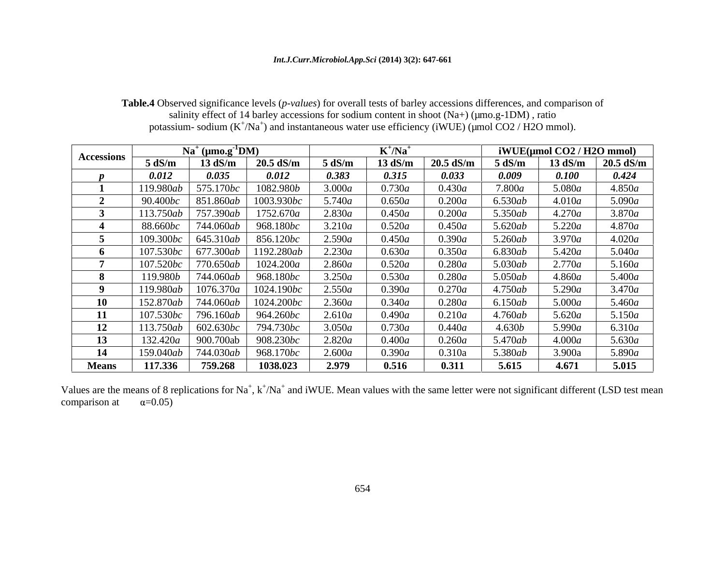### *Int.J.Curr.Microbiol.App.Sci* **(2014) 3(2): 647-661**

| <b>Table.4</b> Observed significance levels ( <i>p-values</i> ) for overall tests of barley accessions differences, and comparison of |  |
|---------------------------------------------------------------------------------------------------------------------------------------|--|
| salinity effect of 14 barley accessions for sodium content in shoot $(Na+)$ ( $\mu$ mo.g-1DM), ratio                                  |  |
| potassium-sodium $(K^+/Na^+)$ and instantaneous water use efficiency (iWUE) (µmol CO2 / H2O mmol).                                    |  |

|                   |                   | $Na^+$ (µmo.g <sup>-1</sup> DM) |                    |        | $K^{\tau}/Na^{\tau}$ |                   |           | $iWUE$ (µmol CO2 / H2O mmol) |             |
|-------------------|-------------------|---------------------------------|--------------------|--------|----------------------|-------------------|-----------|------------------------------|-------------|
| <b>Accessions</b> | - 5 dS/m          | $13 \text{ dS/m}$               | $20.5$ dS/n        | 5 dS/m | 13 dS/m              | $20.5 \text{ dS}$ | 5 dS/m    | $13 \text{ dS/m}$            | $20.5$ dS/m |
|                   | 0.012             | 0.035                           | 0.012              | 0.383  | 0.315                | 0.033             | 0.009     | 0.100                        | 0.424       |
|                   | 119.980ab         | 5.170bc                         | 1082.980b          | 3.000a | 0.730a               | 0.430a            | 7.800a    | 5.080a                       | 4.850a      |
|                   | 90.400 <i>bc</i>  | 851.860ab                       | 1003.930bc         | 5.740a | 0.650a               | 0.200a            | 6.530ab   | 4.010a                       | 5.090a      |
|                   | 13.750ab          | 7.390ab                         | 1752.670a          | 2.830a | 0.450a               | 0.200a            | 5.350ab   | 4.270a                       | 3.870a      |
|                   | 88.660 <i>bc</i>  | 744.060 <i>ab</i>               | 968.180 <i>bc</i>  | 3.210a | 0.520a               | 0.450a            | 5.620ab   | $\overline{5.220a}$          | 4.870a      |
|                   | 109.300bc         | 645.310ab                       | 856.120bc          | 2.590a | 0.450a               | 0.390a            | 5.260ab   | 3.970a                       | 4.020a      |
|                   | 107.530bc         | 677.300ab                       | 1192.280ab         | 2.230a | 0.630a               | 0.350a            | 6.830ab   | 5.420a                       | 5.040a      |
|                   | 107.520bc         | 70.650ab                        | 1024.200 <i>a</i>  | 2.860a | 0.520a               | 0.280a            | $5.030ab$ | 2.770a                       | 5.160a      |
|                   | 119.980b          | 744.060ab                       | 968.180 <i>bc</i>  | .250a  | 0.530a               | 0.280a            | $5.050ab$ | 4.860a                       | 5.400a      |
|                   | 119.980ab         | 1076.370 <i>a</i>               | 1024.190 <i>bc</i> | 2.550a | 0.390a               | 0.270a            | 4.750ab   | 5.290a                       | 3.470a      |
|                   | $-12.870ab$       | 744.060ab                       | 1024.200bc         | 2.360a | 0.340a               | 0.280a            | 6.150ab   | 5.000a                       | 5.460a      |
|                   | 107.530bc         | 796.160ab                       | 964.260bc          | 2.610a | 0.490a               | 0.210a            | 4.760ab   | 5.620a                       | 5.150a      |
|                   | 3.750ab           | 602.630bc                       | 794.730bc          | 3.050a | 0.730a               | 0.440a            | 4.630b    | 5.990a                       | 6.310a      |
|                   | 132.420a          | 900.700ab                       | 908.230 <i>bc</i>  | 2.820a | 0.400a               | 0.260a            | 5.470ab   | 4.000a                       | 5.630a      |
|                   | 159.040 <i>ab</i> | 744.030ab                       | 968.170bc          | 2.600a | 0.390a               | 0.310a            | 5.380ab   | 3.900a                       | 5.890a      |
| <b>Means</b>      | 117.336           | 759.268                         | 1038.023           | 2.979  | 0.516                | 0.311             | 5.615     | 4.671                        | 5.015       |

Values are the means of 8 replications for Na<sup>+</sup>,  $k^+$ /Na<sup>+</sup> and iWUE. Mean values with the same letter were not significant different (LSD test mean comparison at  $\alpha$ =0.05)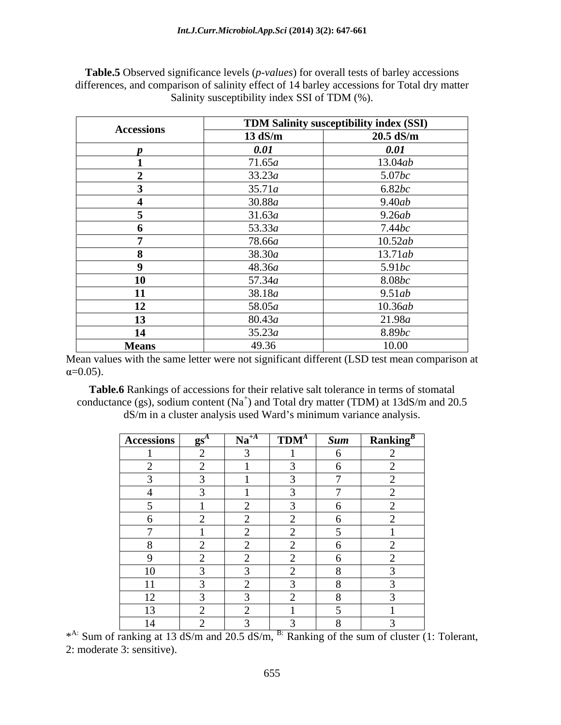|                   |                   | TDM Salinity susceptibility index (SSI) |
|-------------------|-------------------|-----------------------------------------|
| <b>Accessions</b> | $13 \text{ dS/m}$ | $20.5$ dS/m                             |
|                   | 0.01              | 0.01                                    |
|                   | 71.65a            | 13.04ab                                 |
|                   | 33.23a            | 5.07bc                                  |
|                   | 35.71a            | 6.82bc                                  |
|                   | 30.88a            | 9.40ab                                  |
|                   | 31.63a            | 9.26ab                                  |
|                   | 53.33a            | 7.44bc                                  |
|                   | 78.66a            | 10.52ab                                 |
|                   | 38.30a            | 13.71ab                                 |
|                   | 48.36a            | 5.91bc                                  |
|                   | 57.34a            | 8.08bc                                  |
|                   | 38.18 <i>a</i>    | 9.51ab                                  |
|                   | 58.05a            | 10.36ab                                 |
|                   | 80.43a            | 21.98a                                  |
|                   | 35.23a            | 8.89bc                                  |
| <b>Means</b>      | 49.36             | 10.00                                   |

**Table.5** Observed significance levels (*p-values*) for overall tests of barley accessions differences, and comparison of salinity effect of 14 barley accessions for Total dry matter Salinity susceptibility index SSI of TDM (%).

Mean values with the same letter were not significant different (LSD test mean comparison at  $\alpha$ =0.05).

**Table.6** Rankings of accessions for their relative salt tolerance in terms of stomatal conductance (gs), sodium content ( $Na<sup>+</sup>$ ) and Total dry matter (TDM) at 13dS/m and 20.5 dS/m in a cluster analysis used Ward's minimum variance analysis.

| $\left  \right.$ Accessions $\left  \right.$ gs <sup>4</sup>                                | $Na^{+A}$ | $TDM^A$ |                | $Sum$ Ranking <sup>B</sup> |
|---------------------------------------------------------------------------------------------|-----------|---------|----------------|----------------------------|
|                                                                                             |           |         |                |                            |
| $\sim$<br>$\overline{\phantom{0}}$                                                          |           |         | $\sim$         | $\sim$ $\sim$              |
|                                                                                             |           |         | $\overline{a}$ |                            |
|                                                                                             |           |         | $\overline{ }$ |                            |
| the control of the control of the control of                                                |           |         |                |                            |
| $\sigma$                                                                                    |           |         |                |                            |
| $\overline{ }$                                                                              |           |         |                |                            |
| - റ<br>$\delta$                                                                             |           | $\sim$  | $\sim$         | $\sim$ $\sim$              |
| the contract of the contract of the contract of the contract of the contract of<br>$\Omega$ |           |         | $\sim$ $\sim$  | $\sim$ $\sim$              |
| 10                                                                                          |           |         |                |                            |
| 11                                                                                          |           |         | $\Omega$       |                            |
| 12                                                                                          |           |         |                |                            |
| the control of the control of the control of<br>13                                          |           |         |                |                            |
| 14                                                                                          |           |         |                |                            |

\*A: Sum of ranking at 13 dS/m and 20.5 dS/m, <sup>B:</sup> Ranking of the sum of cluster (1: Tolerant, 2: moderate 3: sensitive).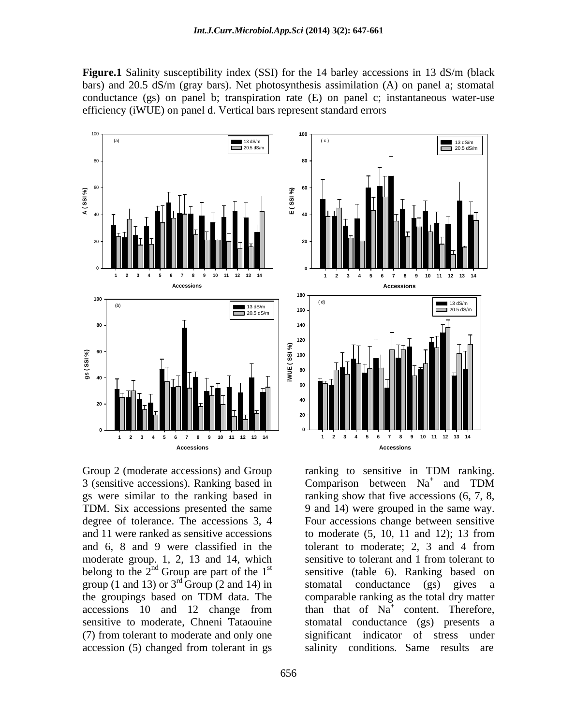**Figure.1** Salinity susceptibility index (SSI) for the 14 barley accessions in 13 dS/m (black bars) and 20.5 dS/m (gray bars). Net photosynthesis assimilation (A) on panel a; stomatal conductance (gs) on panel b; transpiration rate (E) on panel c; instantaneous water-use efficiency (iWUE) on panel d. Vertical bars represent standard errors



3 (sensitive accessions). Ranking based in Comparison between  $Na<sup>+</sup>$  and TDM TDM. Six accessions presented the same 9 and 14) were grouped in the same way. degree of tolerance. The accessions 3, 4 Four accessions change between sensitive belong to the  $2^{nd}$  Group are part of the  $1^{st}$ group (1 and 13) or  $3^{\text{rd}}$  Group (2 and 14) in stomatal conductance (gs) gives a (7) from tolerant to moderate and only one accession (5) changed from tolerant in gs salinity conditions. Same results are



Group 2 (moderate accessions) and Group ranking to sensitive in TDM ranking. gs were similar to the ranking based in ranking show that five accessions (6, 7, 8, and 11 were ranked as sensitive accessions to moderate  $(5, 10, 11, 12)$ ; 13 from and 6, 8 and 9 were classified in the tolerant to moderate; 2, 3 and 4 from moderate group. 1, 2, 13 and 14, which sensitive to tolerant and 1 from tolerant to <sup>nd</sup> Group are part of the 1<sup>st</sup> sensitive (table 6). Ranking based on the groupings based on TDM data. The accessions 10 and 12 change from than that of  $Na<sup>+</sup>$  content. Therefore, sensitive to moderate, Chneni Tataouine stomatal conductance (gs) presents a ranking to sensitive in TDM ranking. Comparison between  $Na<sup>+</sup>$  and TDM <sup>9</sup> and 14) were grouped in the same way. Four accessions change between sensitive to moderate (5, 10, 11 and 12); 13 from stomatal conductance (gs) gives a comparable ranking as the total dry matter than that of  $Na<sup>+</sup>$  content. Therefore, significant indicator of salinity conditions. Same results are

**Accessions**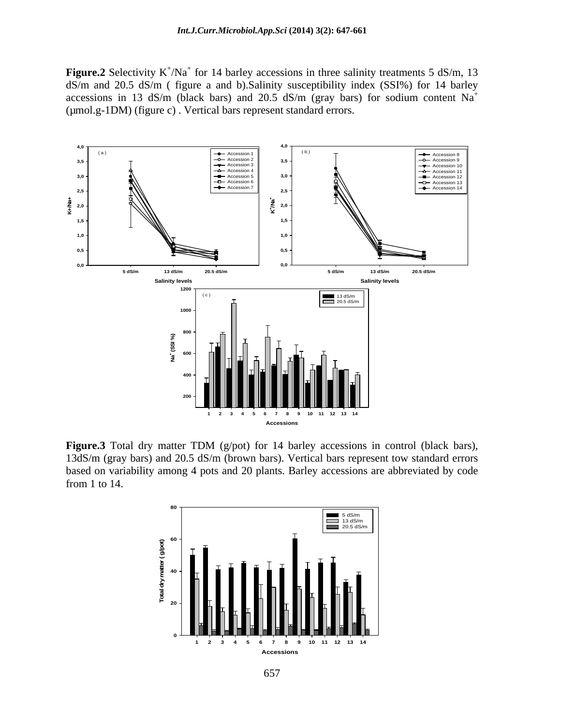**Figure.2** Selectivity  $K^+/\text{Na}^+$  for 14 barley accessions in three salinity treatments 5 dS/m, 13 dS/m and 20.5 dS/m ( figure a and b).Salinity susceptibility index (SSI%) for 14 barley accessions in 13 dS/m (black bars) and 20.5 dS/m (gray bars) for sodium content  $Na<sup>+</sup>$ (µmol.g-1DM) (figure c) . Vertical bars represent standard errors.



**Figure.3** Total dry matter TDM (g/pot) for 14 barley accessions in control (black bars), 13dS/m (gray bars) and 20.5 dS/m (brown bars). Vertical bars represent tow standard errors based on variability among 4 pots and 20 plants. Barley accessions are abbreviated by code from 1 to 14.

![](_page_10_Figure_4.jpeg)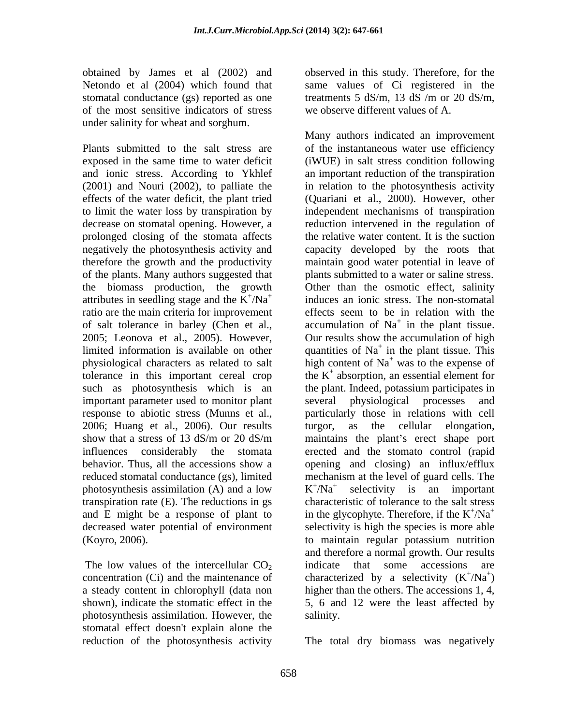obtained by James et al (2002) and observed in this study. Therefore, for the Netondo et al (2004) which found that stomatal conductance (gs) reported as one treatments  $5 \text{ dS/m}$ , 13 dS /m or 20 dS/m, of the most sensitive indicators of stress under salinity for wheat and sorghum.

prolonged closing of the stomata affects the biomass production, the growth attributes in seedling stage and the  $K^+/Na^+$ ratio are the main criteria for improvement tolerance in this important cereal crop such as photosynthesis which is an the plant. Indeed, potassium participates in important parameter used to monitor plant several physiological processes and 2006; Huang et al., 2006). Our results turgor, as the cellular elongation, photosynthesis assimilation (A) and a low  $K^+/Na^+$ transpiration rate (E). The reductions in gs (Koyro, 2006).

a steady content in chlorophyll (data non photosynthesis assimilation. However, the stomatal effect doesn't explain alone the

same values of Ci registered in the treatments 5 dS/m, 13 dS /m or 20 dS/m, we observe different values of A.

Plants submitted to the salt stress are of the instantaneous water use efficiency exposed in the same time to water deficit (iWUE) in salt stress condition following and ionic stress. According to Ykhlef an important reduction of the transpiration (2001) and Nouri (2002), to palliate the in relation to the photosynthesis activity effects of the water deficit, the plant tried (Quariani et al., 2000). However, other to limit the water loss by transpiration by independent mechanisms of transpiration decrease on stomatal opening. However, a reduction intervened in the regulation of negatively the photosynthesis activity and capacity developed by the roots that therefore the growth and the productivity maintain good water potential in leave of of the plants. Many authors suggested that plants submitted to a water or saline stress. + /Na<sup>+</sup> inducesan ionic stress. The non-stomatal of salt tolerance in barley (Chen et al., accumulation of  $Na<sup>+</sup>$  in the plant tissue. 2005; Leonova et al., 2005). However, Our results show the accumulation of high limited information is available on other quantities of  $Na<sup>+</sup>$  in the plant tissue. This physiological characters as related to salt  $\overrightarrow{h}$  high content of Na<sup>+</sup> was to the expense of response to abiotic stress (Munns et al., particularly those in relations with cell show that a stress of 13 dS/m or 20 dS/m maintains the plant's erect shape port influences considerably the stomata erected and the stomato control (rapid behavior. Thus, all the accessions show a opening and closing) an influx/efflux reduced stomatal conductance (gs), limited mechanism at the level of guard cells. The and E might be a response of plant to in the glycophyte. Therefore, if the  $K^{\dagger}/Na^{\dagger}$ decreased water potential of environment selectivity is high the species is more able The low values of the intercellular  $CO<sub>2</sub>$  indicate that some accessions are concentration (Ci) and the maintenance of characterized by a selectivity  $(K^{\dagger}/Na^{\dagger})$ shown), indicate the stomatic effect in the 5, 6 and 12 were the least affected by Many authors indicated an improvement the relative water content. It is the suction Other than the osmotic effect, salinity effects seem to be in relation with the in the plant tissue. in the plant tissue. This the K + absorption, an essential element for the plant. Indeed, potassium participates in several physiological processes and turgor, as the cellular elongation, maintains the plant's erect shape port  $K^{\dagger}/Na^{\dagger}$  selectivity is an important  $^{\dagger}/\text{Na}^{\dagger}$  selectivity is an important  $/Na^+$  selectivity is an important characteristic of tolerance to the salt stress  $^+$ <sub>NIo</sub><sup>+</sup>  $/Na^+$ to maintain regular potassium nutrition and therefore a normal growth. Our results indicate that some accessions are  $^+$ <sub>(NIe</sub><sup>+</sup>)  $(Na^+)$  $)$ higher than the others. The accessions 1, 4, salinity.

reduction of the photosynthesis activity The total dry biomass was negatively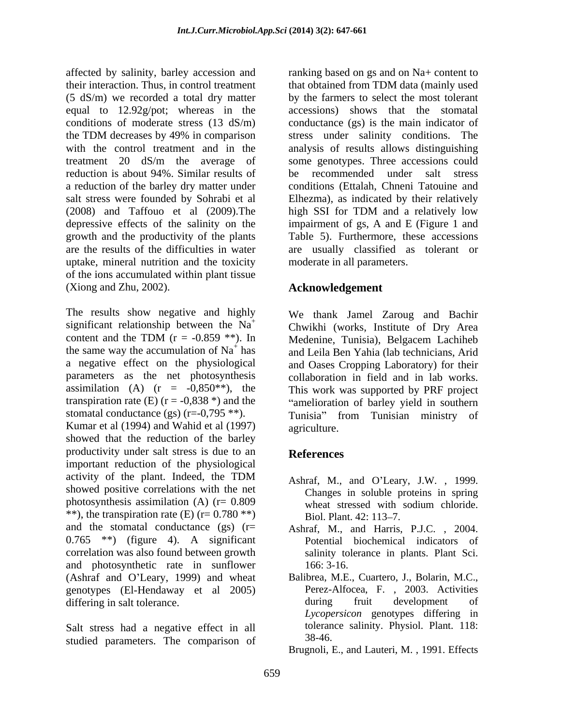affected by salinity, barley accession and ranking based on gs and on Na+ content to their interaction. Thus, in control treatment that obtained from TDM data (mainly used (5 dS/m) we recorded a total dry matter by the farmers to select the most tolerant equal to 12.92g/pot; whereas in the conditions of moderate stress (13 dS/m) the TDM decreases by 49% in comparison stress under salinity conditions. The with the control treatment and in the treatment 20 dS/m the average of some genotypes. Three accessions could reduction is about 94%. Similar results of the recommended under salt stress a reduction of the barley dry matter under conditions (Ettalah, Chneni Tatouine and salt stress were founded by Sohrabi et al Elhezma), as indicated by their relatively  $(2008)$  and Taffouo et al  $(2009)$ . The high SSI for TDM and a relatively low depressive effects of the salinity on the impairment of gs, A and E (Figure 1 and growth and the productivity of the plants are the results of the difficulties in water are usually classified as tolerant or uptake, mineral nutrition and the toxicity of the ions accumulated within plant tissue (Xiong and Zhu, 2002).

The results show negative and highly significant relationship between the Na<sup>+</sup> content and the TDM ( $r = -0.859$ <sup>\*\*</sup>). In content and the TDM  $(r = -0.859 \cdot k)$ . In Medenine, Tunisia), Belgacem Lachiheb content and the TDM  $(r = -0.859 \cdot k)$ . In<br>the same way the accumulation of Na<sup>+</sup> has and Leila Ben Yahia (lab technicians Arid a negative effect on the physiological parameters as the net photosynthesis collaboration in field and in lab works. assimilation (A)  $(r = -0.850^{**})$ , the This work was supported by PRF project transpiration rate (E)  $(r = -0.838*)$  and the "amelioration of barley yield in southern stomatal conductance  $(gs)$  (r=-0,795 \*\*). Tunisia from Tunisian ministry of Kumar et al (1994) and Wahid et al (1997) agriculture. showed that the reduction of the barley productivity under salt stress is due to an **References** important reduction of the physiological activity of the plant. Indeed, the TDM  $\overrightarrow{A}$  a  $\overrightarrow{A}$  and  $\overrightarrow{O}$  a  $\overrightarrow{H}$  and  $\overrightarrow{O}$  a  $\overrightarrow{H}$  and  $\overrightarrow{O}$  a  $\overrightarrow{H}$  and  $\overrightarrow{O}$  a  $\overrightarrow{H}$  and  $\overrightarrow{O}$  a  $\overrightarrow{H}$  and  $\overrightarrow{O}$  a  $\overrightarrow{H}$  and  $\overrightarrow{O}$  a  $\over$ showed positive correlations with the net photosynthesis assimilation (A)  $(r= 0.809$  wheat stressed with sodium chloride. \*\*), the transpiration rate (E)  $(r = 0.780$  \*\*) Biol. Plant. 42: 113–7. and the stomatal conductance (gs) (r= Ashraf, M., and Harris, P.J.C. , 2004.  $0.765$  \*\*) (figure 4). A significant correlation was also found between growth salinity tolerance in plants. Plant Sci. and photosynthetic rate in sunflower (Ashraf and O'Leary, 1999) and wheat Balibrea, M.E., Cuartero, J., Bolarin, M.C., genotypes (El-Hendaway et al 2005) Perez-Alfocea, F., 2003. Activities genotypes (El-Hendaway et al 2005) Perez-Alfocea, F., 2003. Ac<br>differing in salt tolerance. during fruit development differing in salt tolerance. The during truit development of

Salt stress had a negative effect in all toleran<br>studied parameters. The comparison of 38-46. studied parameters. The comparison of

accessions) shows that the stomatal conductance (gs) is the main indicator of analysis of results allows distinguishing be recommended under salt stress high SSI for TDM and a relatively low Table 5). Furthermore, these accessions moderate in all parameters.

# **Acknowledgement**

has and Leila Ben Yahia (lab technicians, Arid We thank Jamel Zaroug and Bachir Chwikhi (works, Institute of Dry Area Medenine, Tunisia), Belgacem Lachiheb and Oases Cropping Laboratory) for their agriculture.

# **References**

- Ashraf, M., and O'Leary, J.W., 1999. Changes in soluble proteins in spring wheat stressed with sodium chloride. Biol. Plant. 42: 113–7.
- Potential biochemical indicators of 166: 3-16.
- Balibrea, M.E., Cuartero, J., Bolarin, M.C., Perez-Alfocea, F. , 2003. Activities during fruit development of *Lycopersicon* genotypes differing in tolerance salinity. Physiol. Plant. 118: 38-46.
- Brugnoli, E., and Lauteri, M. , 1991. Effects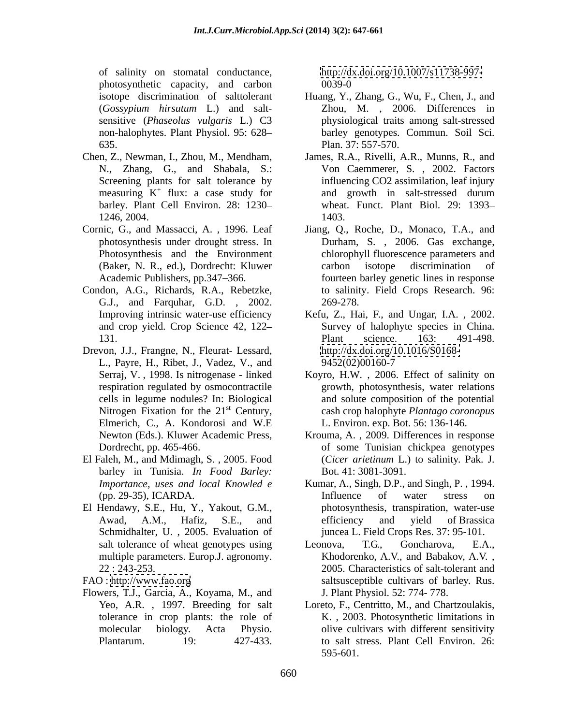of salinity on stomatal conductance, photosynthetic capacity, and carbon

- measuring  $K^+$  flux: a case study for
- Cornic, G., and Massacci, A. , 1996. Leaf
- Condon, A.G., Richards, R.A., Rebetzke, G.J., and Farquhar, G.D. , 2002.
- Drevon, J.J., Frangne, N., Fleurat- Lessard, L., Payre, H., Ribet, J., Vadez, V., and Nitrogen Fixation for the  $21<sup>st</sup>$  Century, Elmerich, C., A. Kondorosi and W.E
- El Faleh, M., and Mdimagh, S. , 2005. Food barley in Tunisia. *In Food Barley:*
- El Hendawy, S.E., Hu, Y., Yakout, G.M., Schmidhalter, U. , 2005. Evaluation of multiple parameters. Europ.J. agronomy*.*

Flowers, T.J., Garcia, A., Koyama, M., and

<http://dx.doi.org/10.1007/s11738-997-> 0039-0

- isotope discrimination of salttolerant Huang, Y., Zhang, G., Wu, F., Chen, J., and (*Gossypium hirsutum* L.) and salt- Zhou, M. , 2006. Differences in sensitive (*Phaseolus vulgaris* L.) C3 physiological traits among salt-stressed non-halophytes. Plant Physiol. 95: 628 barley genotypes. Commun. Soil Sci. 635. Plan. 37: 557-570.
- Chen, Z., Newman, I., Zhou, M., Mendham, James, R.A., Rivelli, A.R., Munns, R., and N., Zhang, G., and Shabala, S.: Von Caemmerer, S. , 2002. Factors Screening plants for salt tolerance by influencing CO2 assimilation, leaf injury <sup>+</sup> flux: a case study for and growth in salt-stressed durum barley. Plant Cell Environ. 28: 1230 wheat. Funct. Plant Biol. 29: 1393 1246, 2004. and growth in salt-stressed durum 1403.
	- photosynthesis under drought stress. In Durham, S. , 2006. Gas exchange, Photosynthesis and the Environment chlorophyll fluorescence parameters and (Baker, N. R., ed.), Dordrecht: Kluwer Academic Publishers, pp.347–366. fourteen barley genetic lines in response Jiang, Q., Roche, D., Monaco, T.A., and carbon isotope discrimination of to salinity. Field Crops Research. 96: 269-278.
	- Improving intrinsic water-use efficiency Kefu, Z., Hai, F., and Ungar, I.A. , 2002. and crop yield. Crop Science 42, 122 Survey of halophyte species in China. 131. Plant science. 163: 491-498. Plant science. 163: 491-498. <http://dx.doi.org/10.1016/S0168-> 9452(02)00160-7
	- Serraj, V. , 1998. Is nitrogenase linked Koyro, H.W. , 2006. Effect of salinity on respiration regulated by osmocontractile growth, photosynthesis, water relations cells in legume nodules? In: Biological and solute composition of the potential st Century, cash crop halophyte *Plantago coronopus* L. Environ. exp. Bot. 56: 136-146.
	- Newton (Eds.). Kluwer Academic Press, Krouma, A., 2009. Differences in response Dordrecht, pp. 465-466. of some Tunisian chickpea genotypes (*Cicer arietinum* L.) to salinity. Pak. J. Bot. 41: 3081-3091.
	- *Importance, uses and local Knowled e* (pp. 29-35), ICARDA. Awad, A.M., Hafiz, S.E., and Kumar, A., Singh, D.P., and Singh, P., 1994.<br>Influence of water stress on photosynthesis, transpiration, water-use efficiency and yield of Brassica juncea L. Field Crops Res. 37: 95-101.
- salt tolerance of wheat genotypes using Leonova, T.G., Goncharova, E.A., 22 : 243-253. 2005. Characteristics of salt-tolerant and FAO :<http://www.fao.org> saltsusceptible cultivars of barley. Rus. Leonova, T.G., Goncharova, E.A., Khodorenko, A.V., and Babakov, A.V. , J. Plant Physiol. 52: 774- 778.
	- Yeo, A.R. , 1997. Breeding for salt Loreto, F., Centritto, M., and Chartzoulakis, tolerance in crop plants: the role of K. , 2003. Photosynthetic limitations in molecular biology. Acta Physio. olive cultivars with different sensitivity Plantarum. 19: 427-433. to salt stress. Plant Cell Environ. 26: 595-601.